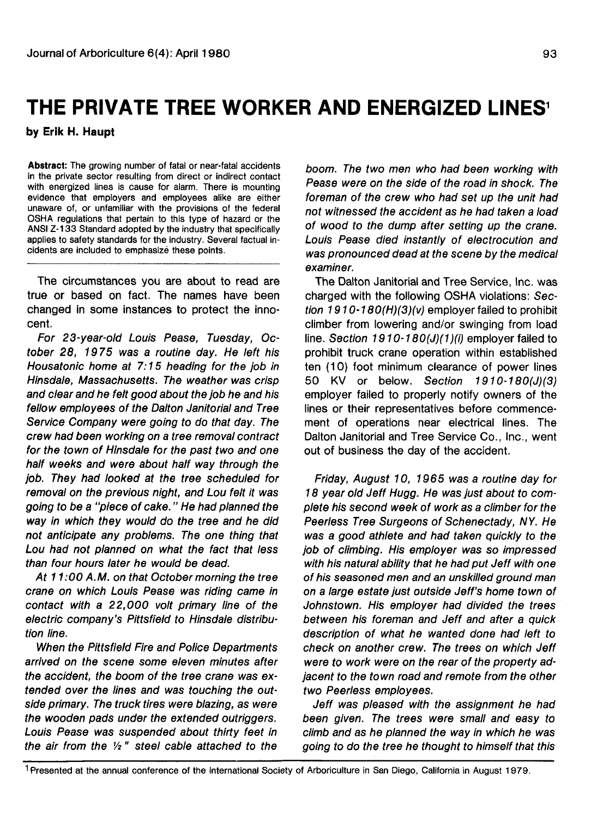## **THE PRIVATE TREE WORKER AND ENERGIZED LINES<sup>1</sup>**

**by Erik H. Haupt**

**Abstract:** The growing number of fatal or near-fatal accidents in the private sector resulting from direct or indirect contact with energized lines is cause for alarm. There is mounting evidence that employers and employees alike are either unaware of, or unfamiliar with the provisions of the federal OSHA regulations that pertain to this type of hazard or the ANSI Z-133 Standard adopted by the industry that specifically applies to safety standards for the industry. Several factual incidents are included to emphasize these points.

The circumstances you are about to read are true or based on fact. The names have been changed in some instances to protect the innocent.

For 23-year-old Louis Pease, Tuesday, October 28, 1975 was a routine day. He left his Housatonic home at 7:15 heading for the job in Hinsdale, Massachusetts. The weather was crisp and clear and he felt good about the job he and his fellow employees of the Dalton Janitorial and Tree Service Company were going to do that day. The crew had been working on a tree removal contract for the town of Hinsdale for the past two and one half weeks and were about half way through the job. They had looked at the tree scheduled for removal on the previous night, and Lou felt it was going to be a "piece of cake." He had planned the way in which they would do the tree and he did not anticipate any problems. The one thing that Lou had not planned on what the fact that less than four hours later he would be dead.

At 11:00 A.M. on that October morning the tree crane on which Louis Pease was riding came in contact with a 22,000 volt primary line of the electric company's Pittsfield to Hinsdale distribution line.

When the Pittsfield Fire and Police Departments arrived on the scene some eleven minutes after the accident, the boom of the tree crane was extended over the lines and was touching the outside primary. The truck tires were blazing, as were the wooden pads under the extended outriggers. Louis Pease was suspended about thirty feet in the air from the  $\frac{1}{2}$ " steel cable attached to the

boom. The two men who had been working with Pease were on the side of the road in shock. The foreman of the crew who had set up the unit had not witnessed the accident as he had taken a load of wood to the dump after setting up the crane. Louis Pease died instantly of electrocution and was pronounced dead at the scene by the medical examiner.

The Dalton Janitorial and Tree Service, Inc. was charged with the following OSHA violations: Section 1910-180(H)(3)(v) employer failed to prohibit climber from lowering and/or swinging from load line. Section 1910-180(J)(1)(i) employer failed to prohibit truck crane operation within established ten (10) foot minimum clearance of power lines 50 KV or below. Section 1910-180(J)(3) employer failed to properly notify owners of the lines or their representatives before commencement of operations near electrical lines. The Dalton Janitorial and Tree Service Co., Inc., went out of business the day of the accident.

Friday, August 10, 1965 was a routine day for 18 year old Jeff Hugg. He was just about to complete his second week of work as a climber for the Peerless Tree Surgeons of Schenectady, NY. He was a good athlete and had taken quickly to the job of climbing. His employer was so impressed with his natural ability that he had put Jeff with one of his seasoned men and an unskilled ground man on a large estate just outside Jeff's home town of Johnstown. His employer had divided the trees between his foreman and Jeff and after a quick description of what he wanted done had left to check on another crew. The trees on which Jeff were to work were on the rear of the property adjacent to the town road and remote from the other two Peerless employees.

Jeff was pleased with the assignment he had been given. The trees were small and easy to climb and as he planned the way in which he was going to do the tree he thought to himself that this

1 Presented at the annual conference of the International Society of Arboriculture in San Diego, California in August 1979.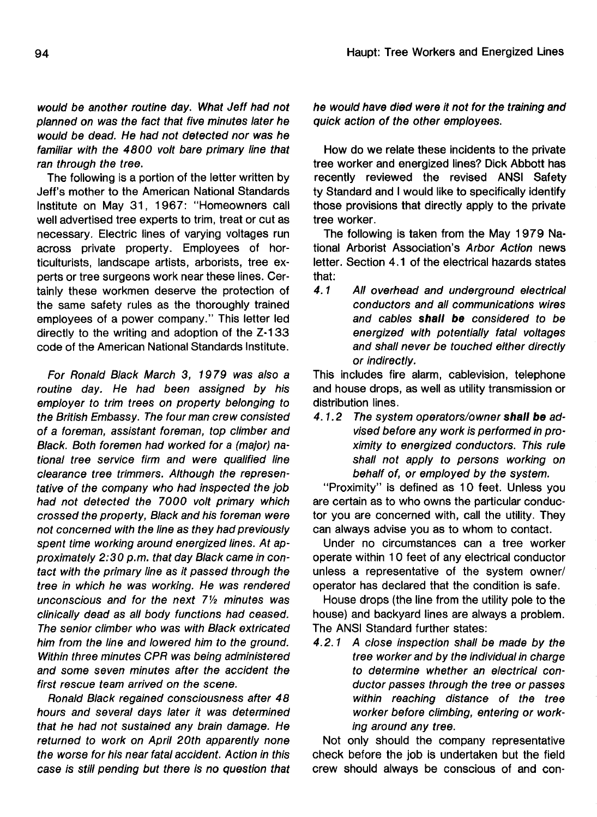would be another routine day. What Jeff had not planned on was the fact that five minutes later he would be dead. He had not detected nor was he familiar with the 4800 volt bare primary line that ran through the tree.

The following is a portion of the letter written by Jeff's mother to the American National Standards Institute on May 31, 1967: "Homeowners call well advertised tree experts to trim, treat or cut as necessary. Electric lines of varying voltages run across private property. Employees of horticulturists, landscape artists, arborists, tree experts or tree surgeons work near these lines. Certainly these workmen deserve the protection of the same safety rules as the thoroughly trained employees of a power company." This letter led directly to the writing and adoption of the Z-133 code of the American National Standards Institute.

For Ronald Black March 3, 1979 was also a routine day. He had been assigned by his employer to trim trees on property belonging to the British Embassy. The four man crew consisted of a foreman, assistant foreman, top climber and Black. Both foremen had worked for a (major) national tree service firm and were qualified line clearance tree trimmers. Although the representative of the company who had inspected the job had not detected the 7000 volt primary which crossed the property, Black and his foreman were not concerned with the line as they had previously spent time working around energized lines. At approximately 2:30 p.m. that day Black came in contact with the primary line as it passed through the tree in which he was working. He was rendered unconscious and for the next  $7\frac{1}{2}$  minutes was clinically dead as all body functions had ceased. The senior climber who was with Black extricated him from the line and lowered him to the ground. Within three minutes CPR was being administered and some seven minutes after the accident the first rescue team arrived on the scene.

Ronald Black regained consciousness after 48 hours and several days later it was determined that he had not sustained any brain damage. He returned to work on April 20th apparently none the worse for his near fatal accident. Action in this case is still pending but there is no question that he would have died were it not for the training and quick action of the other employees.

How do we relate these incidents to the private tree worker and energized lines? Dick Abbott has recently reviewed the revised ANSI Safety ty Standard and I would like to specifically identify those provisions that directly apply to the private tree worker.

The following is taken from the May 1979 National Arborist Association's Arbor Action news letter. Section 4.1 of the electrical hazards states that:

4.1 All overhead and underground electrical conductors and all communications wires and cables **shall be** considered to be energized with potentially fatal voltages and shall never be touched either directly or indirectly.

This includes fire alarm, cablevision, telephone and house drops, as well as utility transmission or distribution lines.

4.1.2 The system operators/owner **shall be** advised before any work is performed in proximity to energized conductors. This rule shall not apply to persons working on behalf of, or employed by the system.

"Proximity" is defined as 10 feet. Unless you are certain as to who owns the particular conductor you are concerned with, call the utility. They can always advise you as to whom to contact.

Under no circumstances can a tree worker operate within 10 feet of any electrical conductor unless a representative of the system owner/ operator has declared that the condition is safe.

House drops (the line from the utility pole to the house) and backyard lines are always a problem. The ANSI Standard further states:

4.2.1 A close inspection shall be made by the tree worker and by the individual in charge to determine whether an electrical conductor passes through the tree or passes within reaching distance of the tree worker before climbing, entering or working around any tree.

Not only should the company representative check before the job is undertaken but the field crew should always be conscious of and con